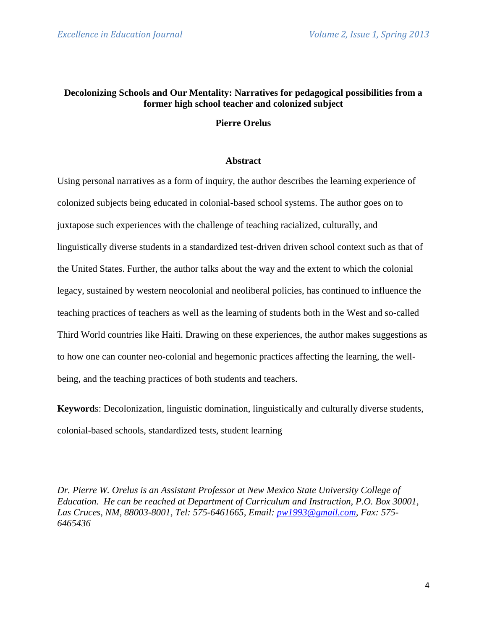# **Decolonizing Schools and Our Mentality: Narratives for pedagogical possibilities from a former high school teacher and colonized subject**

# **Pierre Orelus**

#### **Abstract**

Using personal narratives as a form of inquiry, the author describes the learning experience of colonized subjects being educated in colonial-based school systems. The author goes on to juxtapose such experiences with the challenge of teaching racialized, culturally, and linguistically diverse students in a standardized test-driven driven school context such as that of the United States. Further, the author talks about the way and the extent to which the colonial legacy, sustained by western neocolonial and neoliberal policies, has continued to influence the teaching practices of teachers as well as the learning of students both in the West and so-called Third World countries like Haiti. Drawing on these experiences, the author makes suggestions as to how one can counter neo-colonial and hegemonic practices affecting the learning, the wellbeing, and the teaching practices of both students and teachers.

**Keyword**s: Decolonization, linguistic domination, linguistically and culturally diverse students, colonial-based schools, standardized tests, student learning

*Dr. Pierre W. Orelus is an Assistant Professor at New Mexico State University College of Education. He can be reached at Department of Curriculum and Instruction, P.O. Box 30001, Las Cruces, NM, 88003-8001, Tel: 575-6461665, Email: [pw1993@gmail.com,](mailto:pw1993@gmail.com) Fax: 575- 6465436*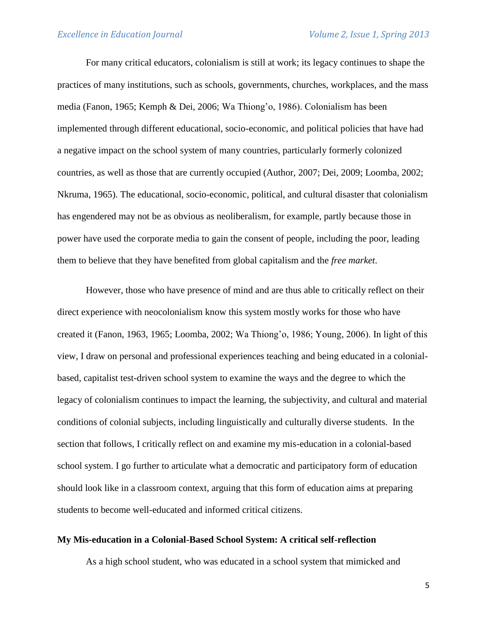For many critical educators, colonialism is still at work; its legacy continues to shape the practices of many institutions, such as schools, governments, churches, workplaces, and the mass media (Fanon, 1965; Kemph & Dei, 2006; Wa Thiong'o, 1986). Colonialism has been implemented through different educational, socio-economic, and political policies that have had a negative impact on the school system of many countries, particularly formerly colonized countries, as well as those that are currently occupied (Author, 2007; Dei, 2009; Loomba, 2002; Nkruma, 1965). The educational, socio-economic, political, and cultural disaster that colonialism has engendered may not be as obvious as neoliberalism, for example, partly because those in power have used the corporate media to gain the consent of people, including the poor, leading them to believe that they have benefited from global capitalism and the *free market*.

However, those who have presence of mind and are thus able to critically reflect on their direct experience with neocolonialism know this system mostly works for those who have created it (Fanon, 1963, 1965; Loomba, 2002; Wa Thiong'o, 1986; Young, 2006). In light of this view, I draw on personal and professional experiences teaching and being educated in a colonialbased, capitalist test-driven school system to examine the ways and the degree to which the legacy of colonialism continues to impact the learning, the subjectivity, and cultural and material conditions of colonial subjects, including linguistically and culturally diverse students. In the section that follows, I critically reflect on and examine my mis-education in a colonial-based school system. I go further to articulate what a democratic and participatory form of education should look like in a classroom context, arguing that this form of education aims at preparing students to become well-educated and informed critical citizens.

#### **My Mis-education in a Colonial-Based School System: A critical self-reflection**

As a high school student, who was educated in a school system that mimicked and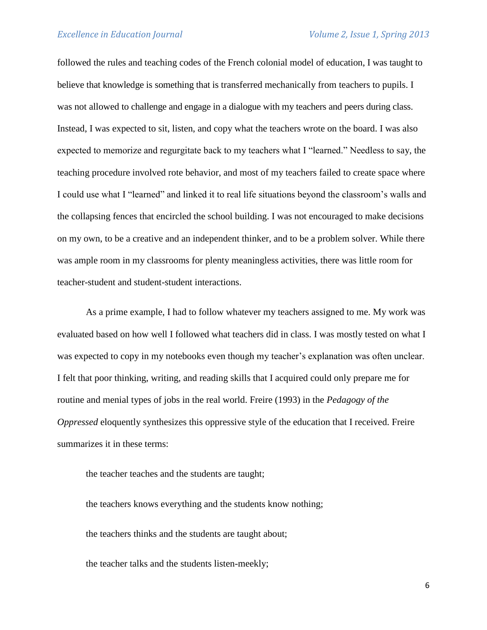followed the rules and teaching codes of the French colonial model of education, I was taught to believe that knowledge is something that is transferred mechanically from teachers to pupils. I was not allowed to challenge and engage in a dialogue with my teachers and peers during class. Instead, I was expected to sit, listen, and copy what the teachers wrote on the board. I was also expected to memorize and regurgitate back to my teachers what I "learned." Needless to say, the teaching procedure involved rote behavior, and most of my teachers failed to create space where I could use what I "learned" and linked it to real life situations beyond the classroom's walls and the collapsing fences that encircled the school building. I was not encouraged to make decisions on my own, to be a creative and an independent thinker, and to be a problem solver. While there was ample room in my classrooms for plenty meaningless activities, there was little room for teacher-student and student-student interactions.

As a prime example, I had to follow whatever my teachers assigned to me. My work was evaluated based on how well I followed what teachers did in class. I was mostly tested on what I was expected to copy in my notebooks even though my teacher's explanation was often unclear. I felt that poor thinking, writing, and reading skills that I acquired could only prepare me for routine and menial types of jobs in the real world. Freire (1993) in the *Pedagogy of the Oppressed* eloquently synthesizes this oppressive style of the education that I received. Freire summarizes it in these terms:

the teacher teaches and the students are taught;

the teachers knows everything and the students know nothing;

the teachers thinks and the students are taught about;

the teacher talks and the students listen-meekly;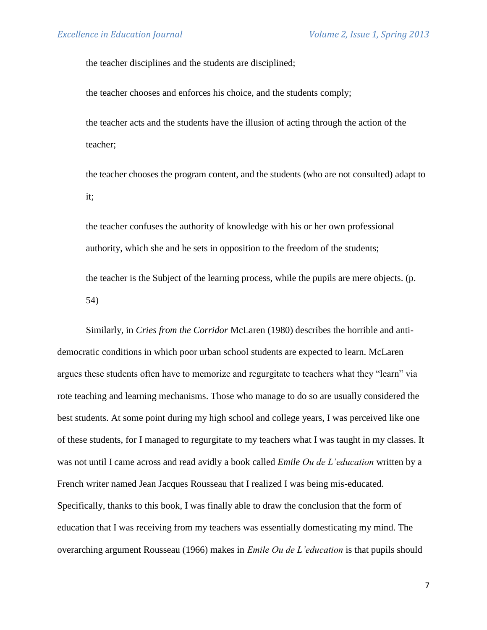the teacher disciplines and the students are disciplined;

the teacher chooses and enforces his choice, and the students comply;

the teacher acts and the students have the illusion of acting through the action of the teacher;

the teacher chooses the program content, and the students (who are not consulted) adapt to it;

the teacher confuses the authority of knowledge with his or her own professional authority, which she and he sets in opposition to the freedom of the students; the teacher is the Subject of the learning process, while the pupils are mere objects. (p.

54)

Similarly, in *Cries from the Corridor* McLaren (1980) describes the horrible and antidemocratic conditions in which poor urban school students are expected to learn. McLaren argues these students often have to memorize and regurgitate to teachers what they "learn" via rote teaching and learning mechanisms. Those who manage to do so are usually considered the best students. At some point during my high school and college years, I was perceived like one of these students, for I managed to regurgitate to my teachers what I was taught in my classes. It was not until I came across and read avidly a book called *Emile Ou de L'education* written by a French writer named Jean Jacques Rousseau that I realized I was being mis-educated. Specifically, thanks to this book, I was finally able to draw the conclusion that the form of education that I was receiving from my teachers was essentially domesticating my mind. The overarching argument Rousseau (1966) makes in *Emile Ou de L'education* is that pupils should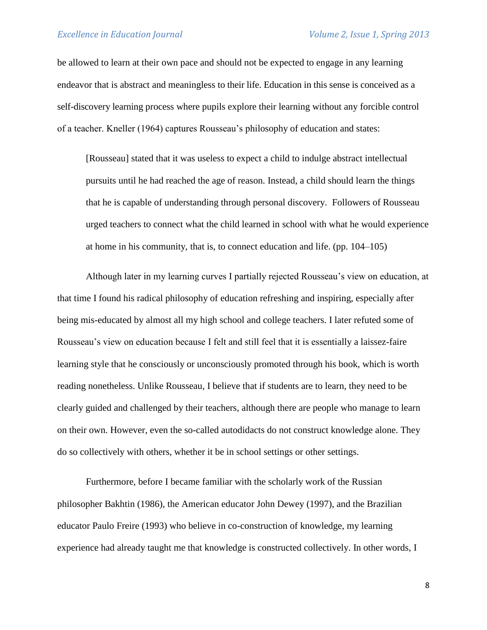be allowed to learn at their own pace and should not be expected to engage in any learning endeavor that is abstract and meaningless to their life. Education in this sense is conceived as a self-discovery learning process where pupils explore their learning without any forcible control of a teacher. Kneller (1964) captures Rousseau's philosophy of education and states:

[Rousseau] stated that it was useless to expect a child to indulge abstract intellectual pursuits until he had reached the age of reason. Instead, a child should learn the things that he is capable of understanding through personal discovery. Followers of Rousseau urged teachers to connect what the child learned in school with what he would experience at home in his community, that is, to connect education and life. (pp. 104–105)

Although later in my learning curves I partially rejected Rousseau's view on education, at that time I found his radical philosophy of education refreshing and inspiring, especially after being mis-educated by almost all my high school and college teachers. I later refuted some of Rousseau's view on education because I felt and still feel that it is essentially a laissez-faire learning style that he consciously or unconsciously promoted through his book, which is worth reading nonetheless. Unlike Rousseau, I believe that if students are to learn, they need to be clearly guided and challenged by their teachers, although there are people who manage to learn on their own. However, even the so-called autodidacts do not construct knowledge alone. They do so collectively with others, whether it be in school settings or other settings.

Furthermore, before I became familiar with the scholarly work of the Russian philosopher Bakhtin (1986), the American educator John Dewey (1997), and the Brazilian educator Paulo Freire (1993) who believe in co-construction of knowledge, my learning experience had already taught me that knowledge is constructed collectively. In other words, I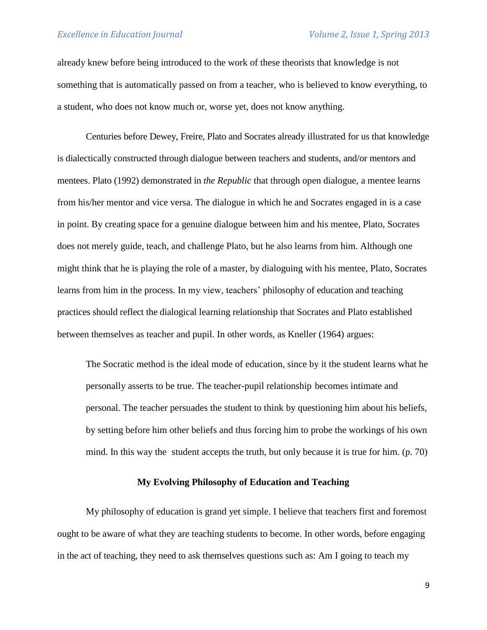already knew before being introduced to the work of these theorists that knowledge is not something that is automatically passed on from a teacher, who is believed to know everything, to a student, who does not know much or, worse yet, does not know anything.

Centuries before Dewey, Freire, Plato and Socrates already illustrated for us that knowledge is dialectically constructed through dialogue between teachers and students, and/or mentors and mentees. Plato (1992) demonstrated in *the Republic* that through open dialogue, a mentee learns from his/her mentor and vice versa. The dialogue in which he and Socrates engaged in is a case in point. By creating space for a genuine dialogue between him and his mentee, Plato, Socrates does not merely guide, teach, and challenge Plato, but he also learns from him. Although one might think that he is playing the role of a master, by dialoguing with his mentee, Plato, Socrates learns from him in the process. In my view, teachers' philosophy of education and teaching practices should reflect the dialogical learning relationship that Socrates and Plato established between themselves as teacher and pupil. In other words, as Kneller (1964) argues:

The Socratic method is the ideal mode of education, since by it the student learns what he personally asserts to be true. The teacher-pupil relationship becomes intimate and personal. The teacher persuades the student to think by questioning him about his beliefs, by setting before him other beliefs and thus forcing him to probe the workings of his own mind. In this way the student accepts the truth, but only because it is true for him. (p. 70)

## **My Evolving Philosophy of Education and Teaching**

My philosophy of education is grand yet simple. I believe that teachers first and foremost ought to be aware of what they are teaching students to become. In other words, before engaging in the act of teaching, they need to ask themselves questions such as: Am I going to teach my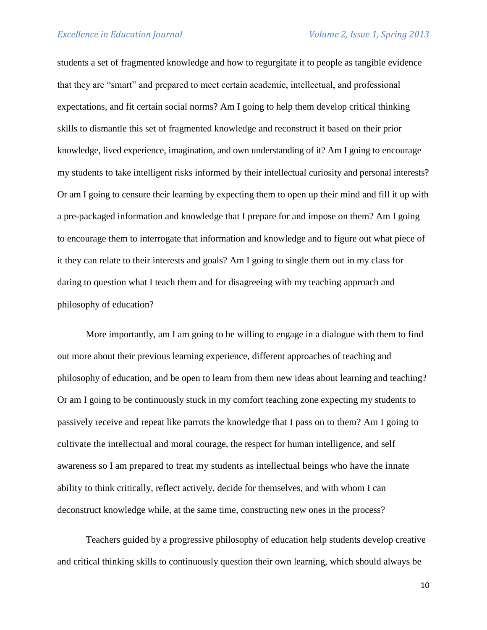students a set of fragmented knowledge and how to regurgitate it to people as tangible evidence that they are "smart" and prepared to meet certain academic, intellectual, and professional expectations, and fit certain social norms? Am I going to help them develop critical thinking skills to dismantle this set of fragmented knowledge and reconstruct it based on their prior knowledge, lived experience, imagination, and own understanding of it? Am I going to encourage my students to take intelligent risks informed by their intellectual curiosity and personal interests? Or am I going to censure their learning by expecting them to open up their mind and fill it up with a pre-packaged information and knowledge that I prepare for and impose on them? Am I going to encourage them to interrogate that information and knowledge and to figure out what piece of it they can relate to their interests and goals? Am I going to single them out in my class for daring to question what I teach them and for disagreeing with my teaching approach and philosophy of education?

More importantly, am I am going to be willing to engage in a dialogue with them to find out more about their previous learning experience, different approaches of teaching and philosophy of education, and be open to learn from them new ideas about learning and teaching? Or am I going to be continuously stuck in my comfort teaching zone expecting my students to passively receive and repeat like parrots the knowledge that I pass on to them? Am I going to cultivate the intellectual and moral courage, the respect for human intelligence, and self awareness so I am prepared to treat my students as intellectual beings who have the innate ability to think critically, reflect actively, decide for themselves, and with whom I can deconstruct knowledge while, at the same time, constructing new ones in the process?

Teachers guided by a progressive philosophy of education help students develop creative and critical thinking skills to continuously question their own learning, which should always be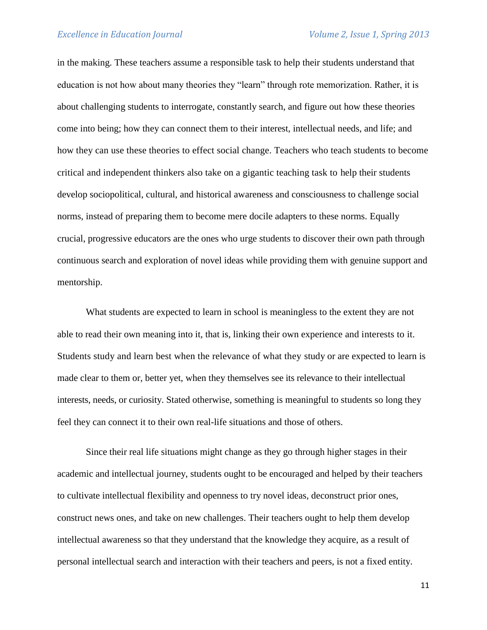in the making. These teachers assume a responsible task to help their students understand that education is not how about many theories they "learn" through rote memorization. Rather, it is about challenging students to interrogate, constantly search, and figure out how these theories come into being; how they can connect them to their interest, intellectual needs, and life; and how they can use these theories to effect social change. Teachers who teach students to become critical and independent thinkers also take on a gigantic teaching task to help their students develop sociopolitical, cultural, and historical awareness and consciousness to challenge social norms, instead of preparing them to become mere docile adapters to these norms. Equally crucial, progressive educators are the ones who urge students to discover their own path through continuous search and exploration of novel ideas while providing them with genuine support and mentorship.

What students are expected to learn in school is meaningless to the extent they are not able to read their own meaning into it, that is, linking their own experience and interests to it. Students study and learn best when the relevance of what they study or are expected to learn is made clear to them or, better yet, when they themselves see its relevance to their intellectual interests, needs, or curiosity. Stated otherwise, something is meaningful to students so long they feel they can connect it to their own real-life situations and those of others.

Since their real life situations might change as they go through higher stages in their academic and intellectual journey, students ought to be encouraged and helped by their teachers to cultivate intellectual flexibility and openness to try novel ideas, deconstruct prior ones, construct news ones, and take on new challenges. Their teachers ought to help them develop intellectual awareness so that they understand that the knowledge they acquire, as a result of personal intellectual search and interaction with their teachers and peers, is not a fixed entity.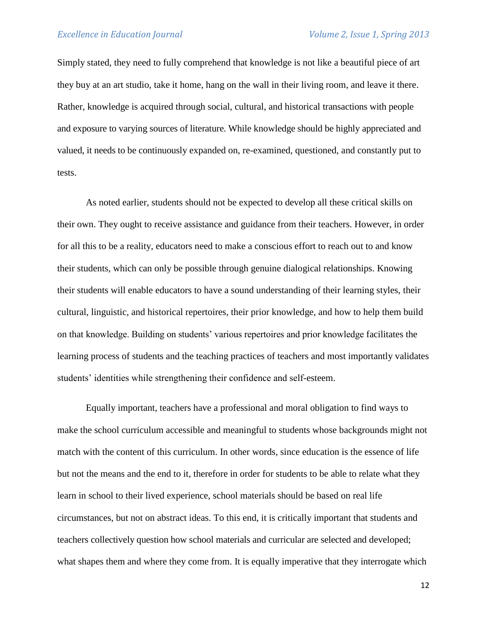Simply stated, they need to fully comprehend that knowledge is not like a beautiful piece of art they buy at an art studio, take it home, hang on the wall in their living room, and leave it there. Rather, knowledge is acquired through social, cultural, and historical transactions with people and exposure to varying sources of literature. While knowledge should be highly appreciated and valued, it needs to be continuously expanded on, re-examined, questioned, and constantly put to tests.

As noted earlier, students should not be expected to develop all these critical skills on their own. They ought to receive assistance and guidance from their teachers. However, in order for all this to be a reality, educators need to make a conscious effort to reach out to and know their students, which can only be possible through genuine dialogical relationships. Knowing their students will enable educators to have a sound understanding of their learning styles, their cultural, linguistic, and historical repertoires, their prior knowledge, and how to help them build on that knowledge. Building on students' various repertoires and prior knowledge facilitates the learning process of students and the teaching practices of teachers and most importantly validates students' identities while strengthening their confidence and self-esteem.

Equally important, teachers have a professional and moral obligation to find ways to make the school curriculum accessible and meaningful to students whose backgrounds might not match with the content of this curriculum. In other words, since education is the essence of life but not the means and the end to it, therefore in order for students to be able to relate what they learn in school to their lived experience, school materials should be based on real life circumstances, but not on abstract ideas. To this end, it is critically important that students and teachers collectively question how school materials and curricular are selected and developed; what shapes them and where they come from. It is equally imperative that they interrogate which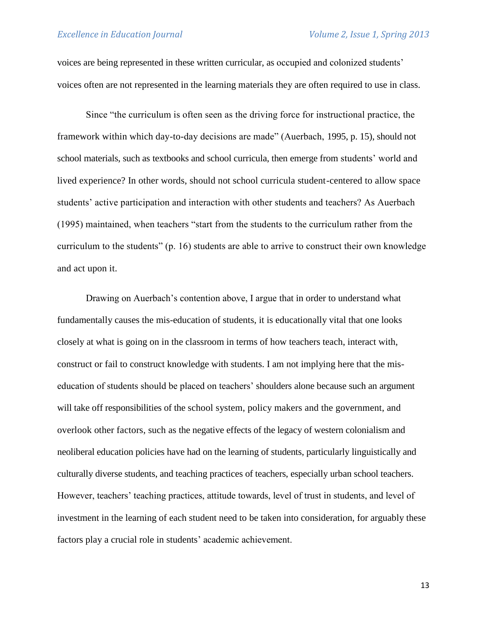voices are being represented in these written curricular, as occupied and colonized students' voices often are not represented in the learning materials they are often required to use in class.

Since "the curriculum is often seen as the driving force for instructional practice, the framework within which day-to-day decisions are made" (Auerbach, 1995, p. 15), should not school materials, such as textbooks and school curricula, then emerge from students' world and lived experience? In other words, should not school curricula student-centered to allow space students' active participation and interaction with other students and teachers? As Auerbach (1995) maintained, when teachers "start from the students to the curriculum rather from the curriculum to the students" (p. 16) students are able to arrive to construct their own knowledge and act upon it.

Drawing on Auerbach's contention above, I argue that in order to understand what fundamentally causes the mis-education of students, it is educationally vital that one looks closely at what is going on in the classroom in terms of how teachers teach, interact with, construct or fail to construct knowledge with students. I am not implying here that the miseducation of students should be placed on teachers' shoulders alone because such an argument will take off responsibilities of the school system, policy makers and the government, and overlook other factors, such as the negative effects of the legacy of western colonialism and neoliberal education policies have had on the learning of students, particularly linguistically and culturally diverse students, and teaching practices of teachers, especially urban school teachers. However, teachers' teaching practices, attitude towards, level of trust in students, and level of investment in the learning of each student need to be taken into consideration, for arguably these factors play a crucial role in students' academic achievement.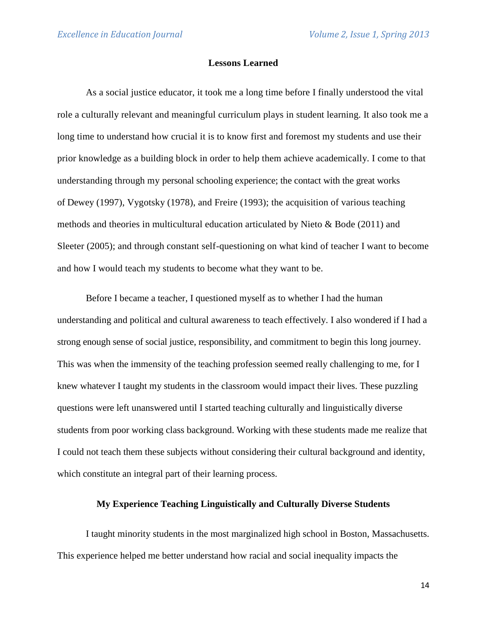## **Lessons Learned**

As a social justice educator, it took me a long time before I finally understood the vital role a culturally relevant and meaningful curriculum plays in student learning. It also took me a long time to understand how crucial it is to know first and foremost my students and use their prior knowledge as a building block in order to help them achieve academically. I come to that understanding through my personal schooling experience; the contact with the great works of Dewey (1997), Vygotsky (1978), and Freire (1993); the acquisition of various teaching methods and theories in multicultural education articulated by Nieto & Bode (2011) and Sleeter (2005); and through constant self-questioning on what kind of teacher I want to become and how I would teach my students to become what they want to be.

Before I became a teacher, I questioned myself as to whether I had the human understanding and political and cultural awareness to teach effectively. I also wondered if I had a strong enough sense of social justice, responsibility, and commitment to begin this long journey. This was when the immensity of the teaching profession seemed really challenging to me, for I knew whatever I taught my students in the classroom would impact their lives. These puzzling questions were left unanswered until I started teaching culturally and linguistically diverse students from poor working class background. Working with these students made me realize that I could not teach them these subjects without considering their cultural background and identity, which constitute an integral part of their learning process.

## **My Experience Teaching Linguistically and Culturally Diverse Students**

I taught minority students in the most marginalized high school in Boston, Massachusetts. This experience helped me better understand how racial and social inequality impacts the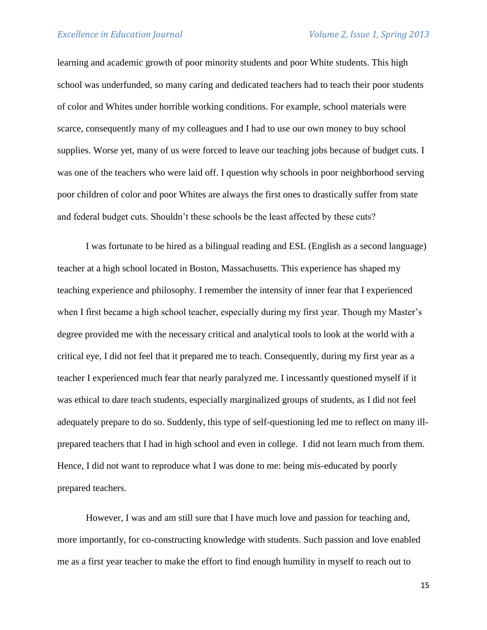learning and academic growth of poor minority students and poor White students. This high school was underfunded, so many caring and dedicated teachers had to teach their poor students of color and Whites under horrible working conditions. For example, school materials were scarce, consequently many of my colleagues and I had to use our own money to buy school supplies. Worse yet, many of us were forced to leave our teaching jobs because of budget cuts. I was one of the teachers who were laid off. I question why schools in poor neighborhood serving poor children of color and poor Whites are always the first ones to drastically suffer from state and federal budget cuts. Shouldn't these schools be the least affected by these cuts?

I was fortunate to be hired as a bilingual reading and ESL (English as a second language) teacher at a high school located in Boston, Massachusetts. This experience has shaped my teaching experience and philosophy. I remember the intensity of inner fear that I experienced when I first became a high school teacher, especially during my first year. Though my Master's degree provided me with the necessary critical and analytical tools to look at the world with a critical eye, I did not feel that it prepared me to teach. Consequently, during my first year as a teacher I experienced much fear that nearly paralyzed me. I incessantly questioned myself if it was ethical to dare teach students, especially marginalized groups of students, as I did not feel adequately prepare to do so. Suddenly, this type of self-questioning led me to reflect on many illprepared teachers that I had in high school and even in college. I did not learn much from them. Hence, I did not want to reproduce what I was done to me: being mis-educated by poorly prepared teachers.

However, I was and am still sure that I have much love and passion for teaching and, more importantly, for co-constructing knowledge with students. Such passion and love enabled me as a first year teacher to make the effort to find enough humility in myself to reach out to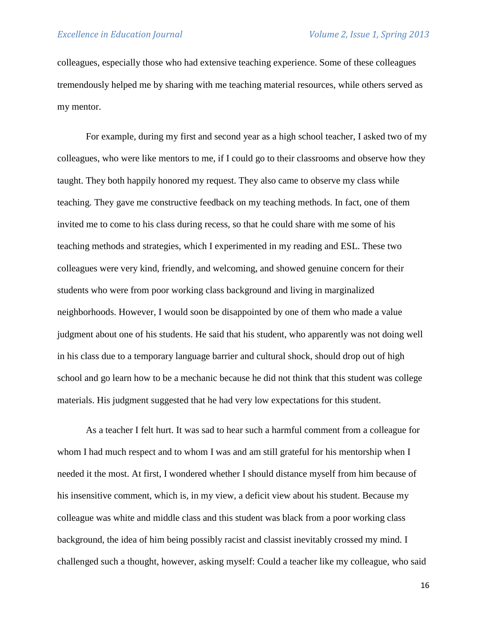colleagues, especially those who had extensive teaching experience. Some of these colleagues tremendously helped me by sharing with me teaching material resources, while others served as my mentor.

For example, during my first and second year as a high school teacher, I asked two of my colleagues, who were like mentors to me, if I could go to their classrooms and observe how they taught. They both happily honored my request. They also came to observe my class while teaching. They gave me constructive feedback on my teaching methods. In fact, one of them invited me to come to his class during recess, so that he could share with me some of his teaching methods and strategies, which I experimented in my reading and ESL. These two colleagues were very kind, friendly, and welcoming, and showed genuine concern for their students who were from poor working class background and living in marginalized neighborhoods. However, I would soon be disappointed by one of them who made a value judgment about one of his students. He said that his student, who apparently was not doing well in his class due to a temporary language barrier and cultural shock, should drop out of high school and go learn how to be a mechanic because he did not think that this student was college materials. His judgment suggested that he had very low expectations for this student.

As a teacher I felt hurt. It was sad to hear such a harmful comment from a colleague for whom I had much respect and to whom I was and am still grateful for his mentorship when I needed it the most. At first, I wondered whether I should distance myself from him because of his insensitive comment, which is, in my view, a deficit view about his student. Because my colleague was white and middle class and this student was black from a poor working class background, the idea of him being possibly racist and classist inevitably crossed my mind. I challenged such a thought, however, asking myself: Could a teacher like my colleague, who said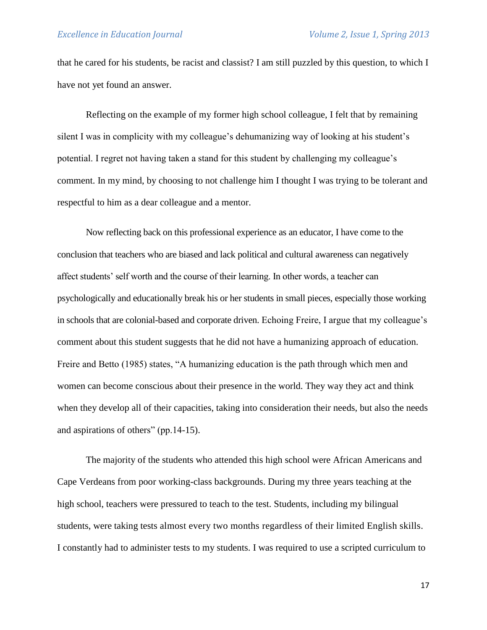that he cared for his students, be racist and classist? I am still puzzled by this question, to which I have not yet found an answer.

Reflecting on the example of my former high school colleague, I felt that by remaining silent I was in complicity with my colleague's dehumanizing way of looking at his student's potential. I regret not having taken a stand for this student by challenging my colleague's comment. In my mind, by choosing to not challenge him I thought I was trying to be tolerant and respectful to him as a dear colleague and a mentor.

Now reflecting back on this professional experience as an educator, I have come to the conclusion that teachers who are biased and lack political and cultural awareness can negatively affect students' self worth and the course of their learning. In other words, a teacher can psychologically and educationally break his or her students in small pieces, especially those working in schools that are colonial-based and corporate driven. Echoing Freire, I argue that my colleague's comment about this student suggests that he did not have a humanizing approach of education. Freire and Betto (1985) states, "A humanizing education is the path through which men and women can become conscious about their presence in the world. They way they act and think when they develop all of their capacities, taking into consideration their needs, but also the needs and aspirations of others" (pp.14-15).

The majority of the students who attended this high school were African Americans and Cape Verdeans from poor working-class backgrounds. During my three years teaching at the high school, teachers were pressured to teach to the test. Students, including my bilingual students, were taking tests almost every two months regardless of their limited English skills. I constantly had to administer tests to my students. I was required to use a scripted curriculum to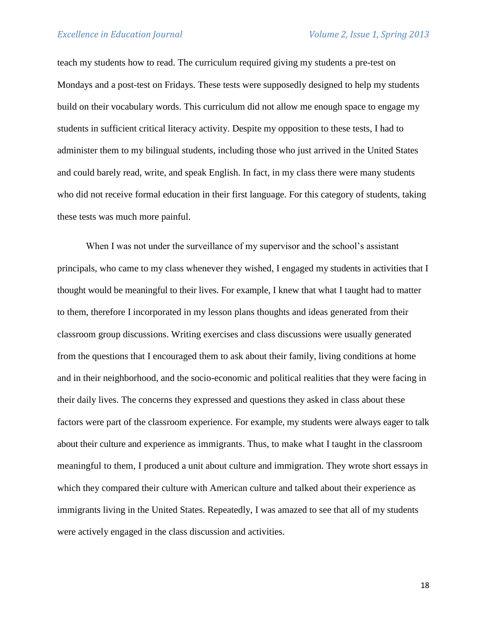teach my students how to read. The curriculum required giving my students a pre-test on Mondays and a post-test on Fridays. These tests were supposedly designed to help my students build on their vocabulary words. This curriculum did not allow me enough space to engage my students in sufficient critical literacy activity. Despite my opposition to these tests, I had to administer them to my bilingual students, including those who just arrived in the United States and could barely read, write, and speak English. In fact, in my class there were many students who did not receive formal education in their first language. For this category of students, taking these tests was much more painful.

When I was not under the surveillance of my supervisor and the school's assistant principals, who came to my class whenever they wished, I engaged my students in activities that I thought would be meaningful to their lives. For example, I knew that what I taught had to matter to them, therefore I incorporated in my lesson plans thoughts and ideas generated from their classroom group discussions. Writing exercises and class discussions were usually generated from the questions that I encouraged them to ask about their family, living conditions at home and in their neighborhood, and the socio-economic and political realities that they were facing in their daily lives. The concerns they expressed and questions they asked in class about these factors were part of the classroom experience. For example, my students were always eager to talk about their culture and experience as immigrants. Thus, to make what I taught in the classroom meaningful to them, I produced a unit about culture and immigration. They wrote short essays in which they compared their culture with American culture and talked about their experience as immigrants living in the United States. Repeatedly, I was amazed to see that all of my students were actively engaged in the class discussion and activities.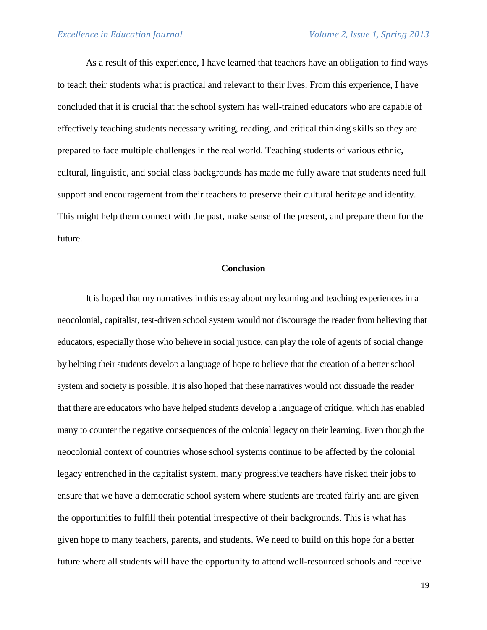As a result of this experience, I have learned that teachers have an obligation to find ways to teach their students what is practical and relevant to their lives. From this experience, I have concluded that it is crucial that the school system has well-trained educators who are capable of effectively teaching students necessary writing, reading, and critical thinking skills so they are prepared to face multiple challenges in the real world. Teaching students of various ethnic, cultural, linguistic, and social class backgrounds has made me fully aware that students need full support and encouragement from their teachers to preserve their cultural heritage and identity. This might help them connect with the past, make sense of the present, and prepare them for the future.

### **Conclusion**

It is hoped that my narratives in this essay about my learning and teaching experiences in a neocolonial, capitalist, test-driven school system would not discourage the reader from believing that educators, especially those who believe in social justice, can play the role of agents of social change by helping their students develop a language of hope to believe that the creation of a better school system and society is possible. It is also hoped that these narratives would not dissuade the reader that there are educators who have helped students develop a language of critique, which has enabled many to counter the negative consequences of the colonial legacy on their learning. Even though the neocolonial context of countries whose school systems continue to be affected by the colonial legacy entrenched in the capitalist system, many progressive teachers have risked their jobs to ensure that we have a democratic school system where students are treated fairly and are given the opportunities to fulfill their potential irrespective of their backgrounds. This is what has given hope to many teachers, parents, and students. We need to build on this hope for a better future where all students will have the opportunity to attend well-resourced schools and receive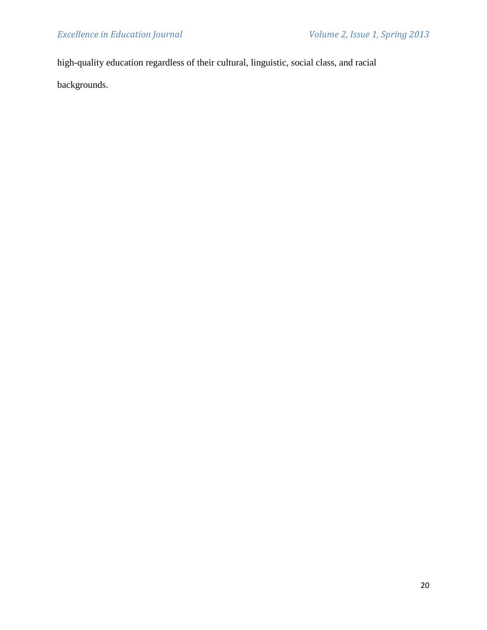high-quality education regardless of their cultural, linguistic, social class, and racial

backgrounds.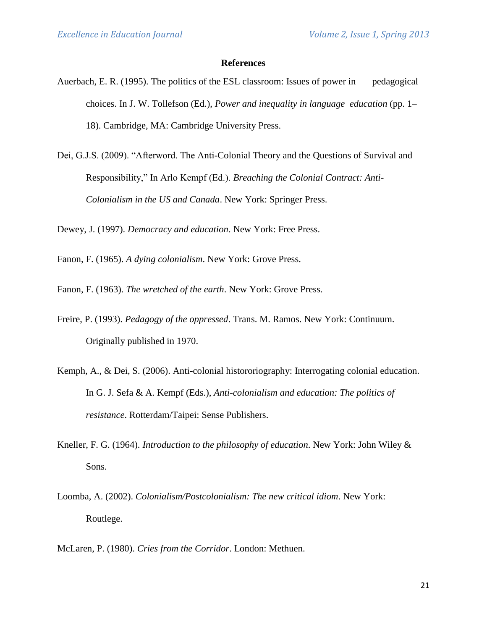#### **References**

- Auerbach, E. R. (1995). The politics of the ESL classroom: Issues of power in pedagogical choices. In J. W. Tollefson (Ed.), *Power and inequality in language education* (pp. 1– 18). Cambridge, MA: Cambridge University Press.
- Dei, G.J.S. (2009). "Afterword. The Anti-Colonial Theory and the Questions of Survival and Responsibility," In Arlo Kempf (Ed.). *Breaching the Colonial Contract: Anti-Colonialism in the US and Canada*. New York: Springer Press.

Dewey, J. (1997). *Democracy and education*. New York: Free Press.

- Fanon, F. (1965). *A dying colonialism*. New York: Grove Press.
- Fanon, F. (1963). *The wretched of the earth*. New York: Grove Press.
- Freire, P. (1993). *Pedagogy of the oppressed*. Trans. M. Ramos. New York: Continuum. Originally published in 1970.
- Kemph, A., & Dei, S. (2006). Anti-colonial histororiography: Interrogating colonial education. In G. J. Sefa & A. Kempf (Eds.), *Anti-colonialism and education: The politics of resistance*. Rotterdam/Taipei: Sense Publishers.
- Kneller, F. G. (1964). *Introduction to the philosophy of education*. New York: John Wiley & Sons.
- Loomba, A. (2002). *Colonialism/Postcolonialism: The new critical idiom*. New York: Routlege.

McLaren, P. (1980). *Cries from the Corridor*. London: Methuen.